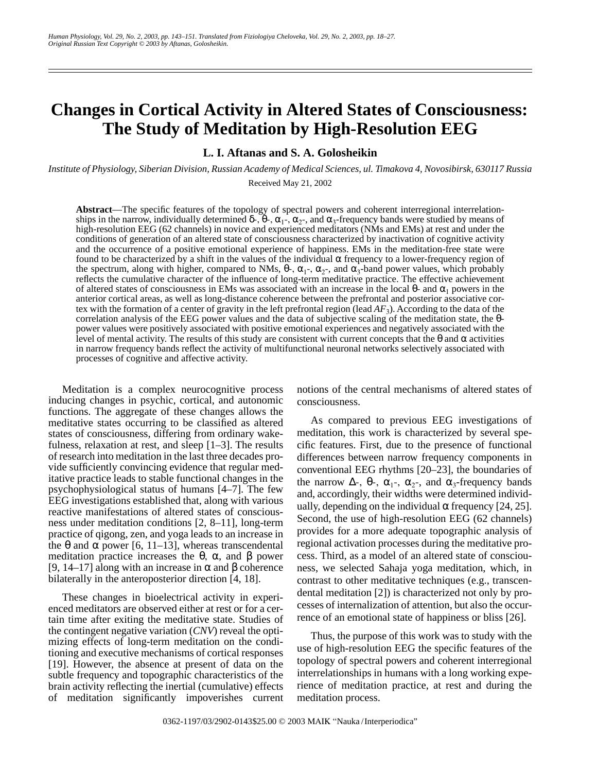# **Changes in Cortical Activity in Altered States of Consciousness: The Study of Meditation by High-Resolution EEG**

**L. I. Aftanas and S. A. Golosheikin**

*Institute of Physiology, Siberian Division, Russian Academy of Medical Sciences, ul. Timakova 4, Novosibirsk, 630117 Russia* Received May 21, 2002

**Abstract**—The specific features of the topology of spectral powers and coherent interregional interrelationships in the narrow, individually determined  $\delta$ -,  $\dot{\theta}$ -,  $\alpha_1$ -,  $\alpha_2$ -, and  $\alpha_3$ -frequency bands were studied by means of high-resolution EEG (62 channels) in novice and experienced meditators (NMs and EMs) at rest and under the conditions of generation of an altered state of consciousness characterized by inactivation of cognitive activity and the occurrence of a positive emotional experience of happiness. EMs in the meditation-free state were found to be characterized by a shift in the values of the individual α frequency to a lower-frequency region of the spectrum, along with higher, compared to NMs,  $\theta$ -,  $\alpha_1$ -,  $\alpha_2$ -, and  $\alpha_3$ -band power values, which probably reflects the cumulative character of the influence of long-term meditative practice. The effective achievement of altered states of consciousness in EMs was associated with an increase in the local  $\theta$ - and  $\alpha_1$  powers in the anterior cortical areas, as well as long-distance coherence between the prefrontal and posterior associative cortex with the formation of a center of gravity in the left prefrontal region (lead  $AF_3$ ). According to the data of the correlation analysis of the EEG power values and the data of subjective scaling of the meditation state, the θpower values were positively associated with positive emotional experiences and negatively associated with the level of mental activity. The results of this study are consistent with current concepts that the θ and α activities in narrow frequency bands reflect the activity of multifunctional neuronal networks selectively associated with processes of cognitive and affective activity.

Meditation is a complex neurocognitive process inducing changes in psychic, cortical, and autonomic functions. The aggregate of these changes allows the meditative states occurring to be classified as altered states of consciousness, differing from ordinary wakefulness, relaxation at rest, and sleep [1–3]. The results of research into meditation in the last three decades provide sufficiently convincing evidence that regular meditative practice leads to stable functional changes in the psychophysiological status of humans [4–7]. The few EEG investigations established that, along with various reactive manifestations of altered states of consciousness under meditation conditions [2, 8–11], long-term practice of qigong, zen, and yoga leads to an increase in the θ and α power [6, 11–13], whereas transcendental meditation practice increases the θ, α, and β power [9, 14–17] along with an increase in α and β coherence bilaterally in the anteroposterior direction [4, 18].

These changes in bioelectrical activity in experienced meditators are observed either at rest or for a certain time after exiting the meditative state. Studies of the contingent negative variation (*CNV*) reveal the optimizing effects of long-term meditation on the conditioning and executive mechanisms of cortical responses [19]. However, the absence at present of data on the subtle frequency and topographic characteristics of the brain activity reflecting the inertial (cumulative) effects of meditation significantly impoverishes current notions of the central mechanisms of altered states of consciousness.

As compared to previous EEG investigations of meditation, this work is characterized by several specific features. First, due to the presence of functional differences between narrow frequency components in conventional EEG rhythms [20–23], the boundaries of the narrow  $\Delta$ -, θ-, α<sub>1</sub>-, α<sub>2</sub>-, and α<sub>3</sub>-frequency bands and, accordingly, their widths were determined individually, depending on the individual  $\alpha$  frequency [24, 25]. Second, the use of high-resolution EEG (62 channels) provides for a more adequate topographic analysis of regional activation processes during the meditative process. Third, as a model of an altered state of consciouness, we selected Sahaja yoga meditation, which, in contrast to other meditative techniques (e.g., transcendental meditation [2]) is characterized not only by processes of internalization of attention, but also the occurrence of an emotional state of happiness or bliss [26].

Thus, the purpose of this work was to study with the use of high-resolution EEG the specific features of the topology of spectral powers and coherent interregional interrelationships in humans with a long working experience of meditation practice, at rest and during the meditation process.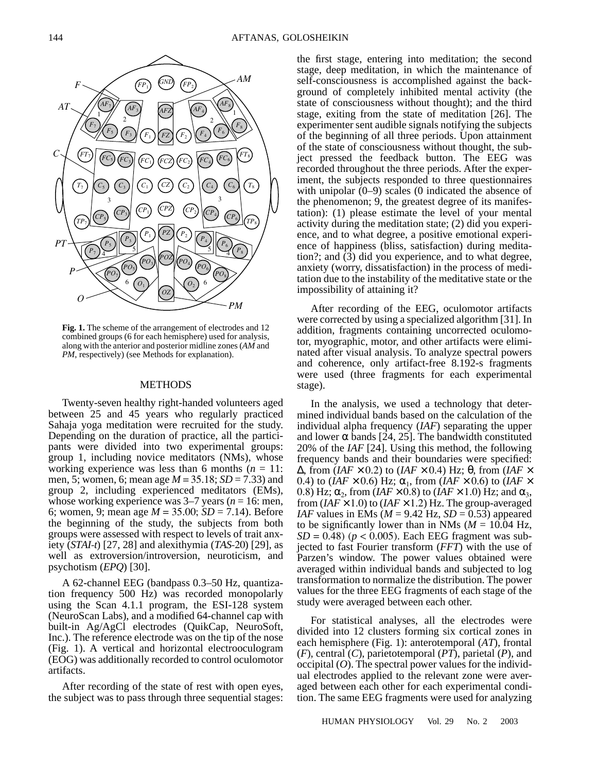

**Fig. 1.** The scheme of the arrangement of electrodes and 12 combined groups (6 for each hemisphere) used for analysis, along with the anterior and posterior midline zones (*AM* and *PM*, respectively) (see Methods for explanation).

#### METHODS

Twenty-seven healthy right-handed volunteers aged between 25 and 45 years who regularly practiced Sahaja yoga meditation were recruited for the study. Depending on the duration of practice, all the participants were divided into two experimental groups: group 1, including novice meditators (NMs), whose working experience was less than 6 months  $(n = 11)$ : men, 5; women, 6; mean age *M* = 35.18; *SD* = 7.33) and group 2, including experienced meditators (EMs), whose working experience was  $3-7$  years ( $n = 16$ : men, 6; women, 9; mean age *M* = 35.00; *SD* = 7.14). Before the beginning of the study, the subjects from both groups were assessed with respect to levels of trait anxiety (*STAI*-*t*) [27, 28] and alexithymia (*TAS*-20) [29], as well as extroversion/introversion, neuroticism, and psychotism (*EPQ*) [30].

A 62-channel EEG (bandpass 0.3–50 Hz, quantization frequency 500 Hz) was recorded monopolarly using the Scan 4.1.1 program, the ESI-128 system (NeuroScan Labs), and a modified 64-channel cap with built-in Ag/AgCl electrodes (QuikCap, NeuroSoft, Inc.). The reference electrode was on the tip of the nose (Fig. 1). A vertical and horizontal electrooculogram (EOG) was additionally recorded to control oculomotor artifacts.

After recording of the state of rest with open eyes, the subject was to pass through three sequential stages: the first stage, entering into meditation; the second stage, deep meditation, in which the maintenance of self-consciousness is accomplished against the background of completely inhibited mental activity (the state of consciousness without thought); and the third stage, exiting from the state of meditation [26]. The experimenter sent audible signals notifying the subjects of the beginning of all three periods. Upon attainment of the state of consciousness without thought, the subject pressed the feedback button. The EEG was recorded throughout the three periods. After the experiment, the subjects responded to three questionnaires with unipolar  $(0-9)$  scales  $(0)$  indicated the absence of the phenomenon; 9, the greatest degree of its manifestation): (1) please estimate the level of your mental activity during the meditation state; (2) did you experience, and to what degree, a positive emotional experience of happiness (bliss, satisfaction) during meditation?; and (3) did you experience, and to what degree, anxiety (worry, dissatisfaction) in the process of meditation due to the instability of the meditative state or the impossibility of attaining it?

After recording of the EEG, oculomotor artifacts were corrected by using a specialized algorithm [31]. In addition, fragments containing uncorrected oculomotor, myographic, motor, and other artifacts were eliminated after visual analysis. To analyze spectral powers and coherence, only artifact-free 8.192-s fragments were used (three fragments for each experimental stage).

In the analysis, we used a technology that determined individual bands based on the calculation of the individual alpha frequency (*IAF*) separating the upper and lower  $\alpha$  bands [24, 25]. The bandwidth constituted 20% of the *IAF* [24]. Using this method, the following frequency bands and their boundaries were specified:  $\Delta$ , from (*IAF* × 0.2) to (*IAF* × 0.4) Hz; θ, from (*IAF* × 0.4) to (*IAF*  $\times$  0.6) Hz;  $\alpha_1$ , from (*IAF*  $\times$  0.6) to (*IAF*  $\times$ 0.8) Hz;  $\alpha_2$ , from (*IAF* × 0.8) to (*IAF* × 1.0) Hz; and  $\alpha_3$ , from  $(IAF \times 1.0)$  to  $(IAF \times 1.2)$  Hz. The group-averaged *IAF* values in EMs ( $M = 9.42$  Hz,  $SD = 0.53$ ) appeared to be significantly lower than in NMs ( $M = 10.04$  Hz,  $SD = 0.48$ ) ( $p < 0.005$ ). Each EEG fragment was subjected to fast Fourier transform (*FFT*) with the use of Parzen's window. The power values obtained were averaged within individual bands and subjected to log transformation to normalize the distribution. The power values for the three EEG fragments of each stage of the study were averaged between each other.

For statistical analyses, all the electrodes were divided into 12 clusters forming six cortical zones in each hemisphere (Fig. 1): anterotemporal (*AT*), frontal (*F*), central (*C*), parietotemporal (*PT*), parietal (*P*), and occipital  $(O)$ . The spectral power values for the individual electrodes applied to the relevant zone were averaged between each other for each experimental condition. The same EEG fragments were used for analyzing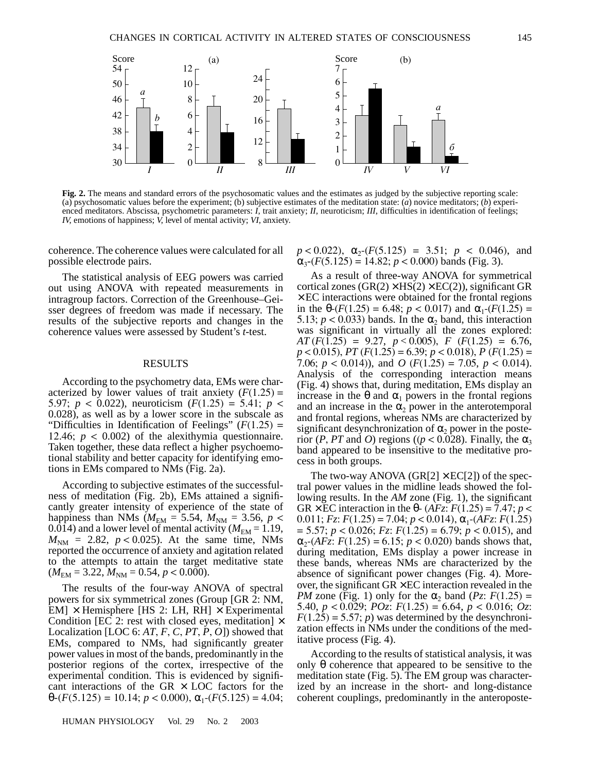

**Fig. 2.** The means and standard errors of the psychosomatic values and the estimates as judged by the subjective reporting scale: (a) psychosomatic values before the experiment; (b) subjective estimates of the meditation state: (*a*) novice meditators; (*b*) experienced meditators. Abscissa, psychometric parameters: *I*, trait anxiety; *II*, neuroticism; *III*, difficulties in identification of feelings; *IV*, emotions of happiness; *V*, level of mental activity; *VI*, anxiety.

coherence. The coherence values were calculated for all possible electrode pairs.

The statistical analysis of EEG powers was carried out using ANOVA with repeated measurements in intragroup factors. Correction of the Greenhouse–Geisser degrees of freedom was made if necessary. The results of the subjective reports and changes in the coherence values were assessed by Student's *t*-test.

## RESULTS

According to the psychometry data, EMs were characterized by lower values of trait anxiety  $(F(1.25) =$ 5.97; *p* < 0.022), neuroticism (*F*(1.25) = 5.41; *p* < 0.028), as well as by a lower score in the subscale as "Difficulties in Identification of Feelings" (*F*(1.25) = 12.46;  $p < 0.002$ ) of the alexithymia questionnaire. Taken together, these data reflect a higher psychoemotional stability and better capacity for identifying emotions in EMs compared to NMs (Fig. 2a).

According to subjective estimates of the successfulness of meditation (Fig. 2b), EMs attained a significantly greater intensity of experience of the state of happiness than NMs ( $M_{\text{EM}} = 5.54$ ,  $M_{\text{NM}} = 3.56$ ,  $p <$ 0.014) and a lower level of mental activity ( $M_{\text{EM}} = 1.19$ ,  $M_{\text{NM}}$  = 2.82,  $p < 0.025$ ). At the same time, NMs reported the occurrence of anxiety and agitation related to the attempts to attain the target meditative state  $(M_{\text{EM}} = 3.22, M_{\text{NM}} = 0.54, p < 0.000).$ 

The results of the four-way ANOVA of spectral powers for six symmetrical zones (Group [GR 2: NM,  $EM$ ]  $\times$  Hemisphere [HS 2: LH, RH]  $\times$  Experimental Condition [EC 2: rest with closed eyes, meditation]  $\times$ Localization [LOC 6: *AT*, *F*, *C*, *PT*, *P*, *O*]) showed that EMs, compared to NMs, had significantly greater power values in most of the bands, predominantly in the posterior regions of the cortex, irrespective of the experimental condition. This is evidenced by significant interactions of the GR  $\times$  LOC factors for the  $\theta$ -(*F*(5.125) = 10.14; *p* < 0.000),  $\alpha_1$ -(*F*(5.125) = 4.04;

HUMAN PHYSIOLOGY Vol. 29 No. 2 2003

 $p < 0.022$ ),  $\alpha_2$ -(*F*(5.125) = 3.51;  $p < 0.046$ ), and  $\alpha_{3}$ -(*F*(5.125) = 14.82; *p* < 0.000) bands (Fig. 3).

As a result of three-way ANOVA for symmetrical cortical zones  $(GR(2) \times HS(2) \times EC(2))$ , significant GR  $\times$  EC interactions were obtained for the frontal regions in the  $\theta$ -(*F*(1.25) = 6.48; *p* < 0.017) and  $\alpha_1$ -(*F*(1.25) = 5.13;  $p < 0.033$ ) bands. In the  $\alpha_2$  band, this interaction was significant in virtually all the zones explored: *AT* (*F*(1.25) = 9.27, *p* < 0.005), *F* (*F*(1.25) = 6.76, *p* < 0.015), *PT* (*F*(1.25) = 6.39; *p* < 0.018), *P* (*F*(1.25) = 7.06; *p* < 0.014)), and *O* (*F*(1.25) = 7.05, *p* < 0.014). Analysis of the corresponding interaction means (Fig. 4) shows that, during meditation, EMs display an increase in the θ and  $\alpha_1$  powers in the frontal regions and an increase in the  $\alpha_2$  power in the anterotemporal and frontal regions, whereas NMs are characterized by significant desynchronization of  $\alpha_2$  power in the posterior (*P*, *PT* and *O*) regions (( $p < 0.028$ ). Finally, the  $\alpha_3$ band appeared to be insensitive to the meditative process in both groups.

The two-way ANOVA (GR[2]  $\times$  EC[2]) of the spectral power values in the midline leads showed the following results. In the *AM* zone (Fig. 1), the significant GR  $\times$  EC interaction in the  $\theta$ - (*AFz*: *F*(1.25) = 7.47; *p* < 0.011;  $Fz$ :  $F(1.25) = 7.04$ ;  $p < 0.014$ ),  $\alpha_1$ - $(AFz$ :  $F(1.25)$ = 5.57; *p* < 0.026; *Fz*: *F*(1.25) = 6.79; *p* < 0.015), and  $\alpha_2$ -(*AFz*: *F*(1.25) = 6.15; *p* < 0.020) bands shows that, during meditation, EMs display a power increase in these bands, whereas NMs are characterized by the absence of significant power changes (Fig. 4). Moreover, the significant  $GR \times EC$  interaction revealed in the *PM* zone (Fig. 1) only for the  $\alpha_2$  band (*Pz*:  $F(1.25)$  = 5.40, *p* < 0.029; *POz*: *F*(1.25) = 6.64, *p* < 0.016; *Oz*:  $F(1.25) = 5.57$ ; *p*) was determined by the desynchronization effects in NMs under the conditions of the meditative process (Fig. 4).

According to the results of statistical analysis, it was only  $θ$  coherence that appeared to be sensitive to the meditation state (Fig. 5). The EM group was characterized by an increase in the short- and long-distance coherent couplings, predominantly in the anteroposte-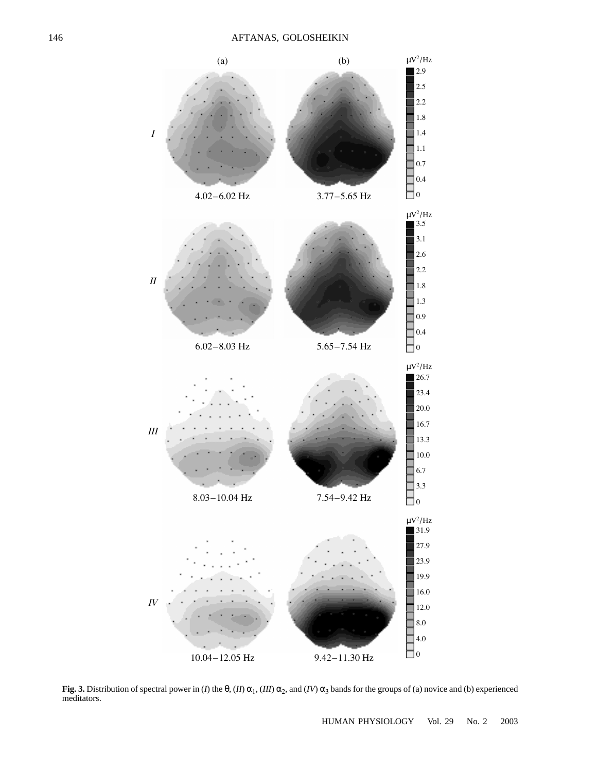

**Fig. 3.** Distribution of spectral power in (*I*) the  $\theta$ , (*II*)  $\alpha_1$ , (*III*)  $\alpha_2$ , and (*IV*)  $\alpha_3$  bands for the groups of (a) novice and (b) experienced meditators.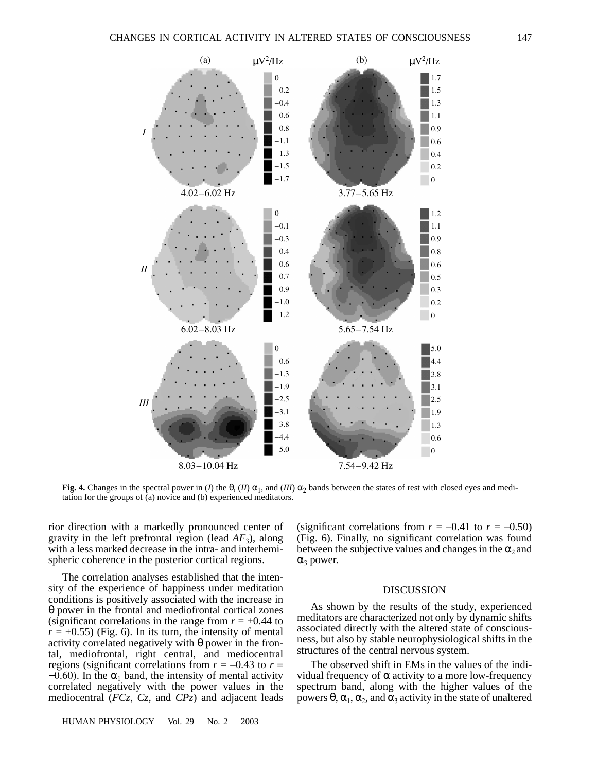

**Fig. 4.** Changes in the spectral power in (*I*) the  $\theta$ , (*II*)  $\alpha_1$ , and (*III*)  $\alpha_2$  bands between the states of rest with closed eyes and medi-

rior direction with a markedly pronounced center of gravity in the left prefrontal region (lead  $AF_3$ ), along with a less marked decrease in the intra- and interhemispheric coherence in the posterior cortical regions.

tation for the groups of (a) novice and (b) experienced meditators.

The correlation analyses established that the intensity of the experience of happiness under meditation conditions is positively associated with the increase in θ power in the frontal and mediofrontal cortical zones (significant correlations in the range from  $r = +0.44$  to  $r = +0.55$ ) (Fig. 6). In its turn, the intensity of mental activity correlated negatively with  $\theta$  power in the frontal, mediofrontal, right central, and mediocentral regions (significant correlations from  $r = -0.43$  to  $r =$  $-0.60$ ). In the  $\alpha_1$  band, the intensity of mental activity correlated negatively with the power values in the mediocentral (*FCz*, *Cz*, and *CPz*) and adjacent leads

HUMAN PHYSIOLOGY Vol. 29 No. 2 2003

(significant correlations from  $r = -0.41$  to  $r = -0.50$ ) (Fig. 6). Finally, no significant correlation was found between the subjective values and changes in the  $\alpha_2$  and  $α_3$  power.

## DISCUSSION

As shown by the results of the study, experienced meditators are characterized not only by dynamic shifts associated directly with the altered state of consciousness, but also by stable neurophysiological shifts in the structures of the central nervous system.

The observed shift in EMs in the values of the individual frequency of α activity to a more low-frequency spectrum band, along with the higher values of the powers  $θ$ ,  $α_1$ ,  $α_2$ , and  $α_3$  activity in the state of unaltered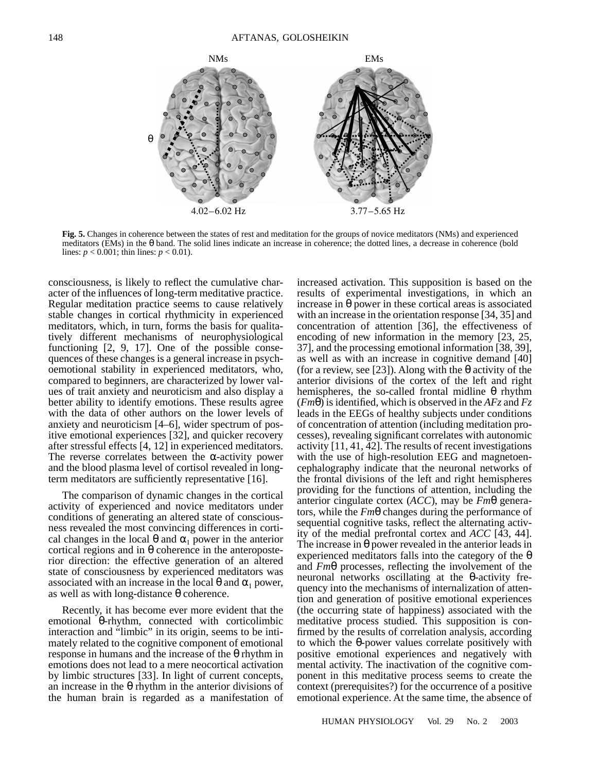

**Fig. 5.** Changes in coherence between the states of rest and meditation for the groups of novice meditators (NMs) and experienced meditators (EMs) in the  $\theta$  band. The solid lines indicate an increase in coherence; the dotted lines, a decrease in coherence (bold lines:  $p < 0.001$ ; thin lines:  $p < 0.01$ ).

consciousness, is likely to reflect the cumulative character of the influences of long-term meditative practice. Regular meditation practice seems to cause relatively stable changes in cortical rhythmicity in experienced meditators, which, in turn, forms the basis for qualitatively different mechanisms of neurophysiological functioning [2, 9, 17]. One of the possible consequences of these changes is a general increase in psychoemotional stability in experienced meditators, who, compared to beginners, are characterized by lower values of trait anxiety and neuroticism and also display a better ability to identify emotions. These results agree with the data of other authors on the lower levels of anxiety and neuroticism [4–6], wider spectrum of positive emotional experiences [32], and quicker recovery after stressful effects [4, 12] in experienced meditators. The reverse correlates between the  $\alpha$ -activity power and the blood plasma level of cortisol revealed in longterm meditators are sufficiently representative [16].

The comparison of dynamic changes in the cortical activity of experienced and novice meditators under conditions of generating an altered state of consciousness revealed the most convincing differences in cortical changes in the local  $\theta$  and  $\alpha_1$  power in the anterior cortical regions and in θ coherence in the anteroposterior direction: the effective generation of an altered state of consciousness by experienced meditators was associated with an increase in the local  $\theta$  and  $\alpha_1$  power, as well as with long-distance θ coherence.

Recently, it has become ever more evident that the emotional θ-rhythm, connected with corticolimbic interaction and "limbic" in its origin, seems to be intimately related to the cognitive component of emotional response in humans and the increase of the  $\theta$  rhythm in emotions does not lead to a mere neocortical activation by limbic structures [33]. In light of current concepts, an increase in the  $\theta$  rhythm in the anterior divisions of the human brain is regarded as a manifestation of increased activation. This supposition is based on the results of experimental investigations, in which an increase in θ power in these cortical areas is associated with an increase in the orientation response [34, 35] and concentration of attention [36], the effectiveness of encoding of new information in the memory [23, 25, 37], and the processing emotional information [38, 39], as well as with an increase in cognitive demand [40] (for a review, see [23]). Along with the  $\theta$  activity of the anterior divisions of the cortex of the left and right hemispheres, the so-called frontal midline  $θ$  rhythm (*Fm*θ) is identified, which is observed in the *AFz* and *Fz* leads in the EEGs of healthy subjects under conditions of concentration of attention (including meditation processes), revealing significant correlates with autonomic activity [11, 41, 42]. The results of recent investigations with the use of high-resolution EEG and magnetoencephalography indicate that the neuronal networks of the frontal divisions of the left and right hemispheres providing for the functions of attention, including the anterior cingulate cortex (*ACC*), may be *Fm*θ generators, while the *Fm*θ changes during the performance of sequential cognitive tasks, reflect the alternating activity of the medial prefrontal cortex and *ACC* [43, 44]. The increase in  $\theta$  power revealed in the anterior leads in experienced meditators falls into the category of the  $\theta$ and *Fm*θ processes, reflecting the involvement of the neuronal networks oscillating at the θ-activity frequency into the mechanisms of internalization of attention and generation of positive emotional experiences (the occurring state of happiness) associated with the meditative process studied. This supposition is confirmed by the results of correlation analysis, according to which the θ-power values correlate positively with positive emotional experiences and negatively with mental activity. The inactivation of the cognitive component in this meditative process seems to create the context (prerequisites?) for the occurrence of a positive emotional experience. At the same time, the absence of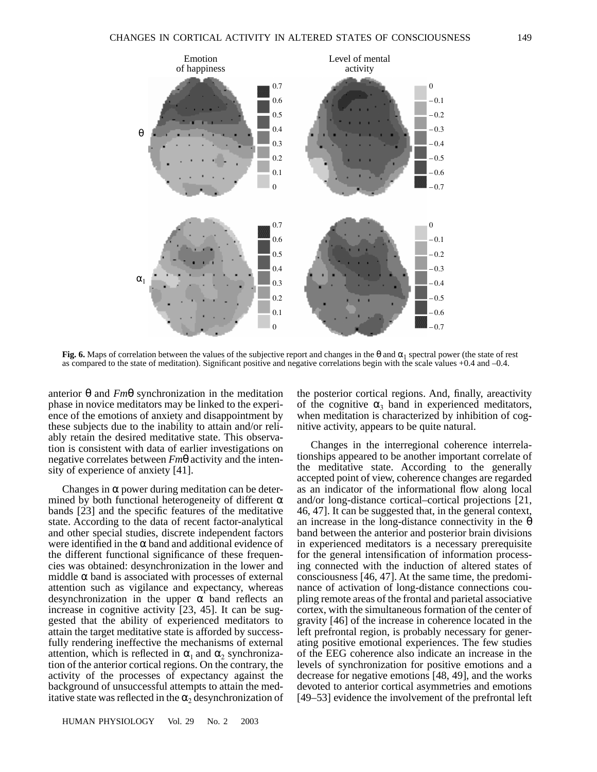

**Fig. 6.** Maps of correlation between the values of the subjective report and changes in the  $\theta$  and  $\alpha_1$  spectral power (the state of rest as compared to the state of meditation). Significant positive and negative correlations begin with the scale values +0.4 and –0.4.

anterior θ and *Fm*θ synchronization in the meditation phase in novice meditators may be linked to the experience of the emotions of anxiety and disappointment by these subjects due to the inability to attain and/or reliably retain the desired meditative state. This observation is consistent with data of earlier investigations on negative correlates between *Fm*θ activity and the intensity of experience of anxiety [41].

Changes in  $\alpha$  power during meditation can be determined by both functional heterogeneity of different  $\alpha$ bands [23] and the specific features of the meditative state. According to the data of recent factor-analytical and other special studies, discrete independent factors were identified in the  $\alpha$  band and additional evidence of the different functional significance of these frequencies was obtained: desynchronization in the lower and middle  $\alpha$  band is associated with processes of external attention such as vigilance and expectancy, whereas desynchronization in the upper  $\alpha$  band reflects an increase in cognitive activity [23, 45]. It can be suggested that the ability of experienced meditators to attain the target meditative state is afforded by successfully rendering ineffective the mechanisms of external attention, which is reflected in  $\alpha_1$  and  $\alpha_2$  synchronization of the anterior cortical regions. On the contrary, the activity of the processes of expectancy against the background of unsuccessful attempts to attain the meditative state was reflected in the  $\alpha_2$  desynchronization of the posterior cortical regions. And, finally, areactivity of the cognitive  $\alpha_3$  band in experienced meditators, when meditation is characterized by inhibition of cognitive activity, appears to be quite natural.

Changes in the interregional coherence interrelationships appeared to be another important correlate of the meditative state. According to the generally accepted point of view, coherence changes are regarded as an indicator of the informational flow along local and/or long-distance cortical–cortical projections [21, 46, 47]. It can be suggested that, in the general context, an increase in the long-distance connectivity in the  $\theta$ band between the anterior and posterior brain divisions in experienced meditators is a necessary prerequisite for the general intensification of information processing connected with the induction of altered states of consciousness [46, 47]. At the same time, the predominance of activation of long-distance connections coupling remote areas of the frontal and parietal associative cortex, with the simultaneous formation of the center of gravity [46] of the increase in coherence located in the left prefrontal region, is probably necessary for generating positive emotional experiences. The few studies of the EEG coherence also indicate an increase in the levels of synchronization for positive emotions and a decrease for negative emotions [48, 49], and the works devoted to anterior cortical asymmetries and emotions [49–53] evidence the involvement of the prefrontal left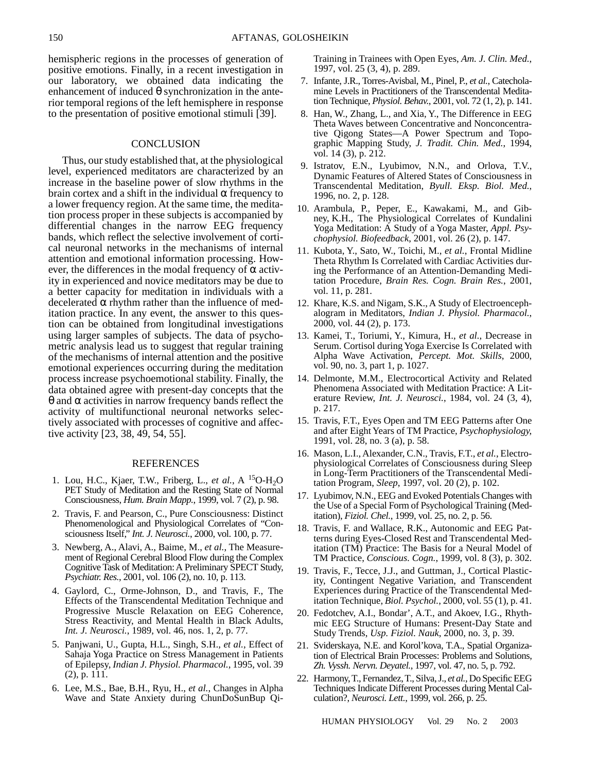hemispheric regions in the processes of generation of positive emotions. Finally, in a recent investigation in our laboratory, we obtained data indicating the enhancement of induced  $\theta$  synchronization in the anterior temporal regions of the left hemisphere in response to the presentation of positive emotional stimuli [39].

## **CONCLUSION**

Thus, our study established that, at the physiological level, experienced meditators are characterized by an increase in the baseline power of slow rhythms in the brain cortex and a shift in the individual α frequency to a lower frequency region. At the same time, the meditation process proper in these subjects is accompanied by differential changes in the narrow EEG frequency bands, which reflect the selective involvement of cortical neuronal networks in the mechanisms of internal attention and emotional information processing. However, the differences in the modal frequency of  $\alpha$  activity in experienced and novice meditators may be due to a better capacity for meditation in individuals with a decelerated  $\alpha$  rhythm rather than the influence of meditation practice. In any event, the answer to this question can be obtained from longitudinal investigations using larger samples of subjects. The data of psychometric analysis lead us to suggest that regular training of the mechanisms of internal attention and the positive emotional experiences occurring during the meditation process increase psychoemotional stability. Finally, the data obtained agree with present-day concepts that the θ and α activities in narrow frequency bands reflect the activity of multifunctional neuronal networks selectively associated with processes of cognitive and affective activity [23, 38, 49, 54, 55].

## **REFERENCES**

- 1. Lou, H.C., Kjaer, T.W., Friberg, L., *et al.*, A <sup>15</sup>O-H<sub>2</sub>O PET Study of Meditation and the Resting State of Normal Consciousness, *Hum. Brain Mapp.*, 1999, vol. 7 (2), p. 98.
- 2. Travis, F. and Pearson, C., Pure Consciousness: Distinct Phenomenological and Physiological Correlates of "Consciousness Itself," *Int. J. Neurosci.*, 2000, vol. 100, p. 77.
- 3. Newberg, A., Alavi, A., Baime, M., *et al.*, The Measurement of Regional Cerebral Blood Flow during the Complex Cognitive Task of Meditation: A Preliminary SPECT Study, *Psychiatr. Res.*, 2001, vol. 106 (2), no. 10, p. 113.
- 4. Gaylord, C., Orme-Johnson, D., and Travis, F., The Effects of the Transcendental Meditation Technique and Progressive Muscle Relaxation on EEG Coherence, Stress Reactivity, and Mental Health in Black Adults, *Int. J. Neurosci.*, 1989, vol. 46, nos. 1, 2, p. 77.
- 5. Panjwani, U., Gupta, H.L., Singh, S.H., *et al.*, Effect of Sahaja Yoga Practice on Stress Management in Patients of Epilepsy, *Indian J. Physiol. Pharmacol.*, 1995, vol. 39 (2), p. 111.
- 6. Lee, M.S., Bae, B.H., Ryu, H., *et al.*, Changes in Alpha Wave and State Anxiety during ChunDoSunBup Qi-

Training in Trainees with Open Eyes, *Am. J. Clin. Med.*, 1997, vol. 25 (3, 4), p. 289.

- 7. Infante, J.R., Torres-Avisbal, M., Pinel, P., *et al.*, Catecholamine Levels in Practitioners of the Transcendental Meditation Technique, *Physiol. Behav.*, 2001, vol. 72 (1, 2), p. 141.
- 8. Han, W., Zhang, L., and Xia, Y., The Difference in EEG Theta Waves between Concentrative and Nonconcentrative Qigong States—A Power Spectrum and Topographic Mapping Study, *J. Tradit. Chin. Med.*, 1994, vol. 14 (3), p. 212.
- 9. Istratov, E.N., Lyubimov, N.N., and Orlova, T.V., Dynamic Features of Altered States of Consciousness in Transcendental Meditation, *Byull. Eksp. Biol. Med.*, 1996, no. 2, p. 128.
- 10. Arambula, P., Peper, E., Kawakami, M., and Gibney, K.H., The Physiological Correlates of Kundalini Yoga Meditation: A Study of a Yoga Master, *Appl. Psychophysiol. Biofeedback*, 2001, vol. 26 (2), p. 147.
- 11. Kubota, Y., Sato, W., Toichi, M., *et al.*, Frontal Midline Theta Rhythm Is Correlated with Cardiac Activities during the Performance of an Attention-Demanding Meditation Procedure, *Brain Res. Cogn. Brain Res.*, 2001, vol. 11, p. 281.
- 12. Khare, K.S. and Nigam, S.K., A Study of Electroencephalogram in Meditators, *Indian J. Physiol. Pharmacol.*, 2000, vol. 44 (2), p. 173.
- 13. Kamei, T., Toriumi, Y., Kimura, H., *et al.*, Decrease in Serum. Cortisol during Yoga Exercise Is Correlated with Alpha Wave Activation, *Percept. Mot. Skills*, 2000, vol. 90, no. 3, part 1, p. 1027.
- 14. Delmonte, M.M., Electrocortical Activity and Related Phenomena Associated with Meditation Practice: A Literature Review, *Int. J. Neurosci.*, 1984, vol. 24 (3, 4), p. 217.
- 15. Travis, F.T., Eyes Open and TM EEG Patterns after One and after Eight Years of TM Practice, *Psychophysiology*, 1991, vol. 28, no. 3 (a), p. 58.
- 16. Mason, L.I., Alexander, C.N., Travis, F.T., *et al.*, Electrophysiological Correlates of Consciousness during Sleep in Long-Term Practitioners of the Transcendental Meditation Program, *Sleep*, 1997, vol. 20 (2), p. 102.
- 17. Lyubimov, N.N., EEG and Evoked Potentials Changes with the Use of a Special Form of Psychological Training (Meditation), *Fiziol. Chel.*, 1999, vol. 25, no. 2, p. 56.
- 18. Travis, F. and Wallace, R.K., Autonomic and EEG Patterns during Eyes-Closed Rest and Transcendental Meditation (TM) Practice: The Basis for a Neural Model of TM Practice, *Conscious. Cogn.*, 1999, vol. 8 (3), p. 302.
- 19. Travis, F., Tecce, J.J., and Guttman, J., Cortical Plasticity, Contingent Negative Variation, and Transcendent Experiences during Practice of the Transcendental Meditation Technique, *Biol. Psychol.*, 2000, vol. 55 (1), p. 41.
- 20. Fedotchev, A.I., Bondar', A.T., and Akoev, I.G., Rhythmic EEG Structure of Humans: Present-Day State and Study Trends, *Usp. Fiziol. Nauk*, 2000, no. 3, p. 39.
- 21. Sviderskaya, N.E. and Korol'kova, T.A., Spatial Organization of Electrical Brain Processes: Problems and Solutions, *Zh. Vyssh. Nervn. Deyatel.*, 1997, vol. 47, no. 5, p. 792.
- 22. Harmony, T., Fernandez, T., Silva, J., *et al.*, Do Specific EEG Techniques Indicate Different Processes during Mental Calculation?, *Neurosci. Lett.*, 1999, vol. 266, p. 25.

HUMAN PHYSIOLOGY Vol. 29 No. 2 2003